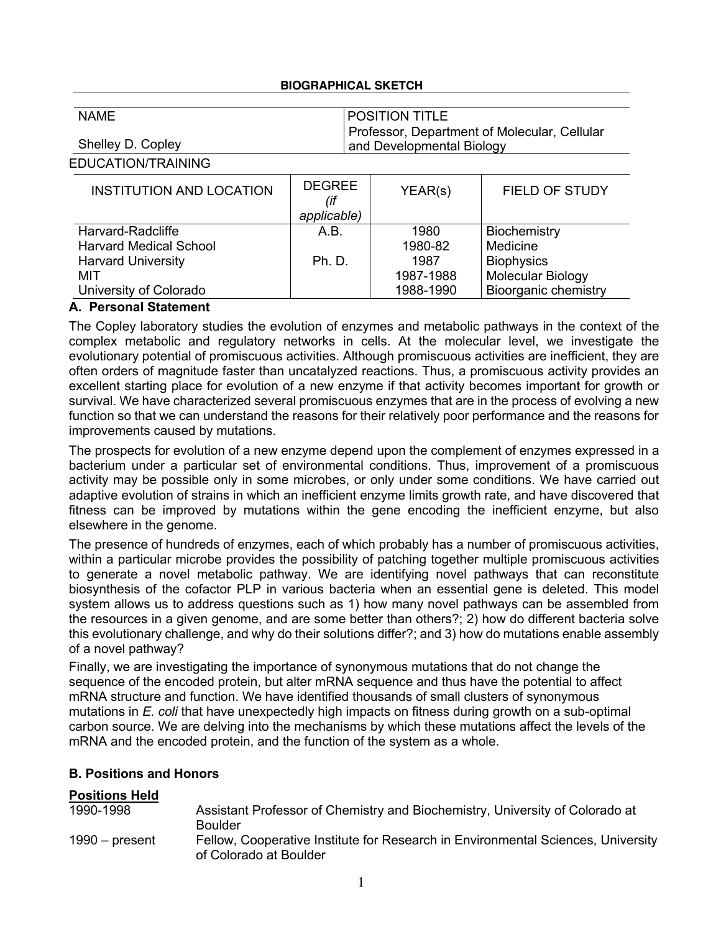### **BIOGRAPHICAL SKETCH**

| <b>NAME</b>       | <b>POSITION TITLE</b>                        |
|-------------------|----------------------------------------------|
|                   | Professor, Department of Molecular, Cellular |
| Shelley D. Copley | and Developmental Biology                    |

EDUCATION/TRAINING

| <b>INSTITUTION AND LOCATION</b> | <b>DEGREE</b><br>applicable) | YEAR(s)   | <b>FIELD OF STUDY</b>       |
|---------------------------------|------------------------------|-----------|-----------------------------|
| Harvard-Radcliffe               | A.B.                         | 1980      | Biochemistry                |
| <b>Harvard Medical School</b>   |                              | 1980-82   | Medicine                    |
| <b>Harvard University</b>       | <b>Ph. D.</b>                | 1987      | <b>Biophysics</b>           |
| MIT                             |                              | 1987-1988 | <b>Molecular Biology</b>    |
| University of Colorado          |                              | 1988-1990 | <b>Bioorganic chemistry</b> |

### **A. Personal Statement**

The Copley laboratory studies the evolution of enzymes and metabolic pathways in the context of the complex metabolic and regulatory networks in cells. At the molecular level, we investigate the evolutionary potential of promiscuous activities. Although promiscuous activities are inefficient, they are often orders of magnitude faster than uncatalyzed reactions. Thus, a promiscuous activity provides an excellent starting place for evolution of a new enzyme if that activity becomes important for growth or survival. We have characterized several promiscuous enzymes that are in the process of evolving a new function so that we can understand the reasons for their relatively poor performance and the reasons for improvements caused by mutations.

The prospects for evolution of a new enzyme depend upon the complement of enzymes expressed in a bacterium under a particular set of environmental conditions. Thus, improvement of a promiscuous activity may be possible only in some microbes, or only under some conditions. We have carried out adaptive evolution of strains in which an inefficient enzyme limits growth rate, and have discovered that fitness can be improved by mutations within the gene encoding the inefficient enzyme, but also elsewhere in the genome.

The presence of hundreds of enzymes, each of which probably has a number of promiscuous activities, within a particular microbe provides the possibility of patching together multiple promiscuous activities to generate a novel metabolic pathway. We are identifying novel pathways that can reconstitute biosynthesis of the cofactor PLP in various bacteria when an essential gene is deleted. This model system allows us to address questions such as 1) how many novel pathways can be assembled from the resources in a given genome, and are some better than others?; 2) how do different bacteria solve this evolutionary challenge, and why do their solutions differ?; and 3) how do mutations enable assembly of a novel pathway?

Finally, we are investigating the importance of synonymous mutations that do not change the sequence of the encoded protein, but alter mRNA sequence and thus have the potential to affect mRNA structure and function. We have identified thousands of small clusters of synonymous mutations in *E. coli* that have unexpectedly high impacts on fitness during growth on a sub-optimal carbon source. We are delving into the mechanisms by which these mutations affect the levels of the mRNA and the encoded protein, and the function of the system as a whole.

## **B. Positions and Honors**

| <b>Positions Held</b> |                                                                                                            |
|-----------------------|------------------------------------------------------------------------------------------------------------|
| 1990-1998             | Assistant Professor of Chemistry and Biochemistry, University of Colorado at<br><b>Boulder</b>             |
| $1990 -$ present      | Fellow, Cooperative Institute for Research in Environmental Sciences, University<br>of Colorado at Boulder |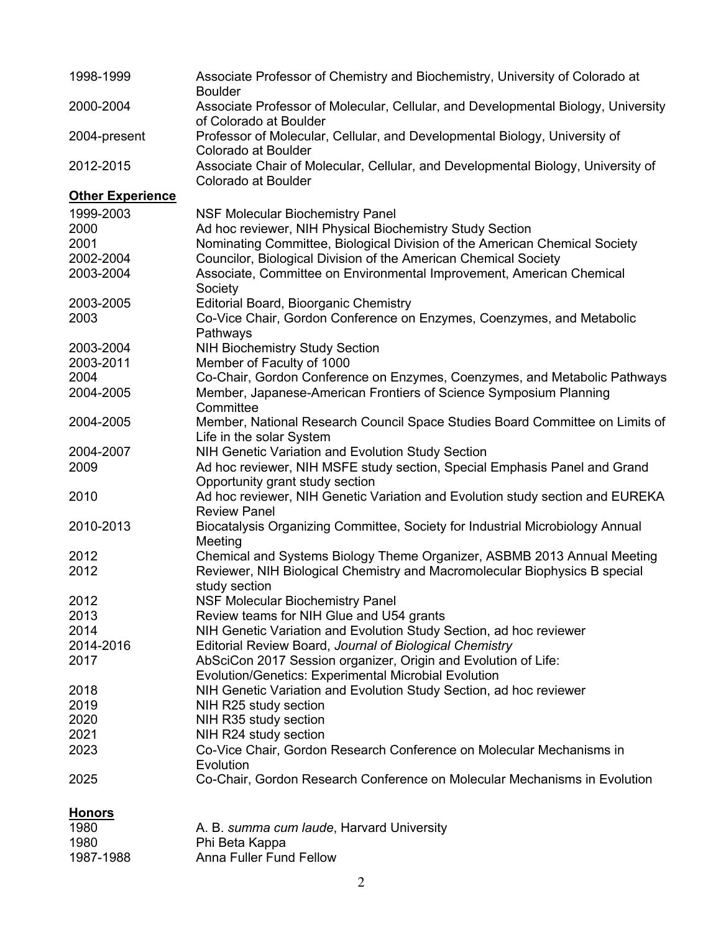| 1998-1999               | Associate Professor of Chemistry and Biochemistry, University of Colorado at<br><b>Boulder</b>               |
|-------------------------|--------------------------------------------------------------------------------------------------------------|
| 2000-2004               | Associate Professor of Molecular, Cellular, and Developmental Biology, University<br>of Colorado at Boulder  |
| 2004-present            | Professor of Molecular, Cellular, and Developmental Biology, University of<br>Colorado at Boulder            |
| 2012-2015               | Associate Chair of Molecular, Cellular, and Developmental Biology, University of<br>Colorado at Boulder      |
| <b>Other Experience</b> |                                                                                                              |
| 1999-2003               | <b>NSF Molecular Biochemistry Panel</b>                                                                      |
| 2000                    | Ad hoc reviewer, NIH Physical Biochemistry Study Section                                                     |
| 2001                    | Nominating Committee, Biological Division of the American Chemical Society                                   |
| 2002-2004               | Councilor, Biological Division of the American Chemical Society                                              |
| 2003-2004               | Associate, Committee on Environmental Improvement, American Chemical                                         |
|                         | Society                                                                                                      |
| 2003-2005               | <b>Editorial Board, Bioorganic Chemistry</b>                                                                 |
| 2003                    | Co-Vice Chair, Gordon Conference on Enzymes, Coenzymes, and Metabolic<br>Pathways                            |
| 2003-2004               | <b>NIH Biochemistry Study Section</b>                                                                        |
| 2003-2011               | Member of Faculty of 1000                                                                                    |
| 2004                    | Co-Chair, Gordon Conference on Enzymes, Coenzymes, and Metabolic Pathways                                    |
| 2004-2005               | Member, Japanese-American Frontiers of Science Symposium Planning<br>Committee                               |
| 2004-2005               | Member, National Research Council Space Studies Board Committee on Limits of<br>Life in the solar System     |
| 2004-2007               | NIH Genetic Variation and Evolution Study Section                                                            |
| 2009                    | Ad hoc reviewer, NIH MSFE study section, Special Emphasis Panel and Grand<br>Opportunity grant study section |
| 2010                    | Ad hoc reviewer, NIH Genetic Variation and Evolution study section and EUREKA                                |
|                         | <b>Review Panel</b>                                                                                          |
| 2010-2013               | Biocatalysis Organizing Committee, Society for Industrial Microbiology Annual                                |
|                         | Meeting                                                                                                      |
| 2012                    | Chemical and Systems Biology Theme Organizer, ASBMB 2013 Annual Meeting                                      |
| 2012                    | Reviewer, NIH Biological Chemistry and Macromolecular Biophysics B special<br>study section                  |
| 2012                    | <b>NSF Molecular Biochemistry Panel</b>                                                                      |
| 2013                    | Review teams for NIH Glue and U54 grants                                                                     |
|                         |                                                                                                              |
| 2014                    | NIH Genetic Variation and Evolution Study Section, ad hoc reviewer                                           |
| 2014-2016               | Editorial Review Board, Journal of Biological Chemistry                                                      |
| 2017                    | AbSciCon 2017 Session organizer, Origin and Evolution of Life:                                               |
|                         | Evolution/Genetics: Experimental Microbial Evolution                                                         |
| 2018                    | NIH Genetic Variation and Evolution Study Section, ad hoc reviewer                                           |
| 2019                    | NIH R25 study section                                                                                        |
| 2020                    | NIH R35 study section                                                                                        |
| 2021                    | NIH R24 study section                                                                                        |
| 2023                    | Co-Vice Chair, Gordon Research Conference on Molecular Mechanisms in                                         |
|                         | Evolution                                                                                                    |
| 2025                    | Co-Chair, Gordon Research Conference on Molecular Mechanisms in Evolution                                    |
| <b>Honors</b>           |                                                                                                              |
| 1980                    | A. B. summa cum laude, Harvard University                                                                    |
| 1980                    | Phi Beta Kappa                                                                                               |

1987-1988 Anna Fuller Fund Fellow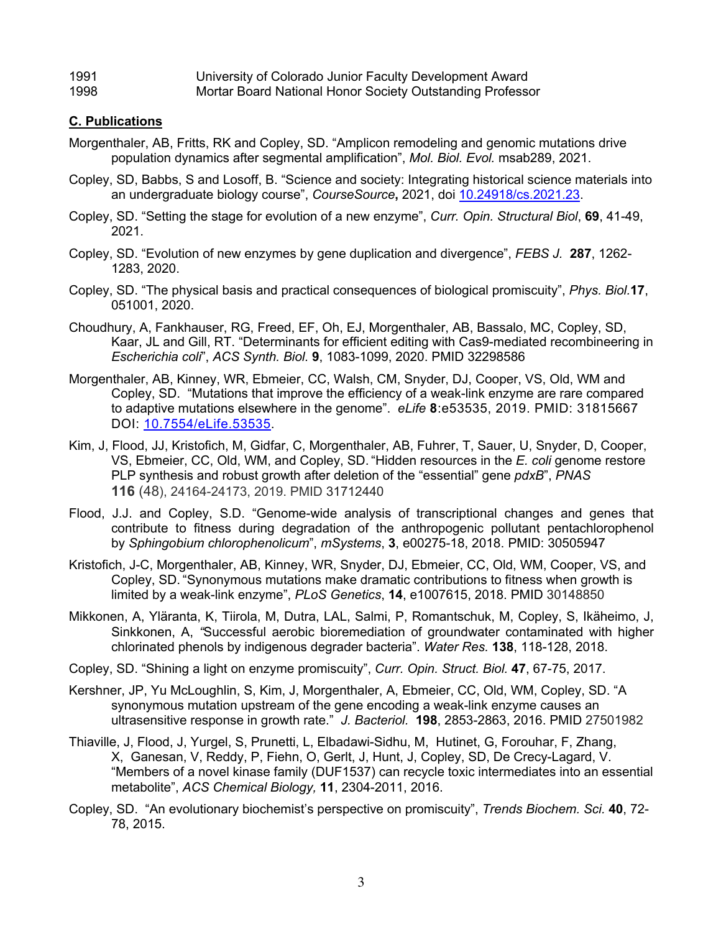# 1991 University of Colorado Junior Faculty Development Award

# 1998 Mortar Board National Honor Society Outstanding Professor

# **C. Publications**

- Morgenthaler, AB, Fritts, RK and Copley, SD. "Amplicon remodeling and genomic mutations drive population dynamics after segmental amplification", *Mol. Biol. Evol.* msab289, 2021.
- Copley, SD, Babbs, S and Losoff, B. "Science and society: Integrating historical science materials into an undergraduate biology course", *CourseSource***,** 2021, doi 10.24918/cs.2021.23.
- Copley, SD. "Setting the stage for evolution of a new enzyme", *Curr. Opin. Structural Biol*, **69**, 41-49, 2021.
- Copley, SD. "Evolution of new enzymes by gene duplication and divergence", *FEBS J.* **287**, 1262- 1283, 2020.
- Copley, SD. "The physical basis and practical consequences of biological promiscuity", *Phys. Biol.***17**, 051001, 2020.
- Choudhury, A, Fankhauser, RG, Freed, EF, Oh, EJ, Morgenthaler, AB, Bassalo, MC, Copley, SD, Kaar, JL and Gill, RT. "Determinants for efficient editing with Cas9-mediated recombineering in *Escherichia coli*", *ACS Synth. Biol.* **9**, 1083-1099, 2020. PMID 32298586
- Morgenthaler, AB, Kinney, WR, Ebmeier, CC, Walsh, CM, Snyder, DJ, Cooper, VS, Old, WM and Copley, SD. "Mutations that improve the efficiency of a weak-link enzyme are rare compared to adaptive mutations elsewhere in the genome". *eLife* **8**:e53535, 2019. PMID: 31815667 DOI: 10.7554/eLife.53535.
- Kim, J, Flood, JJ, Kristofich, M, Gidfar, C, Morgenthaler, AB, Fuhrer, T, Sauer, U, Snyder, D, Cooper, VS, Ebmeier, CC, Old, WM, and Copley, SD. "Hidden resources in the *E. coli* genome restore PLP synthesis and robust growth after deletion of the "essential" gene *pdxB*", *PNAS*  **116** (48), 24164-24173, 2019. PMID 31712440
- Flood, J.J. and Copley, S.D. "Genome-wide analysis of transcriptional changes and genes that contribute to fitness during degradation of the anthropogenic pollutant pentachlorophenol by *Sphingobium chlorophenolicum*", *mSystems*, **3**, e00275-18, 2018. PMID: 30505947
- Kristofich, J-C, Morgenthaler, AB, Kinney, WR, Snyder, DJ, Ebmeier, CC, Old, WM, Cooper, VS, and Copley, SD. "Synonymous mutations make dramatic contributions to fitness when growth is limited by a weak-link enzyme", *PLoS Genetics*, **14**, e1007615, 2018. PMID 30148850
- Mikkonen, A, Yläranta, K, Tiirola, M, Dutra, LAL, Salmi, P, Romantschuk, M, Copley, S, Ikäheimo, J, Sinkkonen, A, *"*Successful aerobic bioremediation of groundwater contaminated with higher chlorinated phenols by indigenous degrader bacteria". *Water Res.* **138**, 118-128, 2018.
- Copley, SD. "Shining a light on enzyme promiscuity", *Curr. Opin. Struct. Biol.* **47**, 67-75, 2017.
- Kershner, JP, Yu McLoughlin, S, Kim, J, Morgenthaler, A, Ebmeier, CC, Old, WM, Copley, SD. "A synonymous mutation upstream of the gene encoding a weak-link enzyme causes an ultrasensitive response in growth rate." *J. Bacteriol.* **198**, 2853-2863, 2016. PMID 27501982
- Thiaville, J, Flood, J, Yurgel, S, Prunetti, L, Elbadawi-Sidhu, M, Hutinet, G, Forouhar, F, Zhang, X, Ganesan, V, Reddy, P, Fiehn, O, Gerlt, J, Hunt, J, Copley, SD, De Crecy-Lagard, V. "Members of a novel kinase family (DUF1537) can recycle toxic intermediates into an essential metabolite", *ACS Chemical Biology,* **11**, 2304-2011, 2016.
- Copley, SD. "An evolutionary biochemist's perspective on promiscuity", *Trends Biochem. Sci.* **40**, 72- 78, 2015.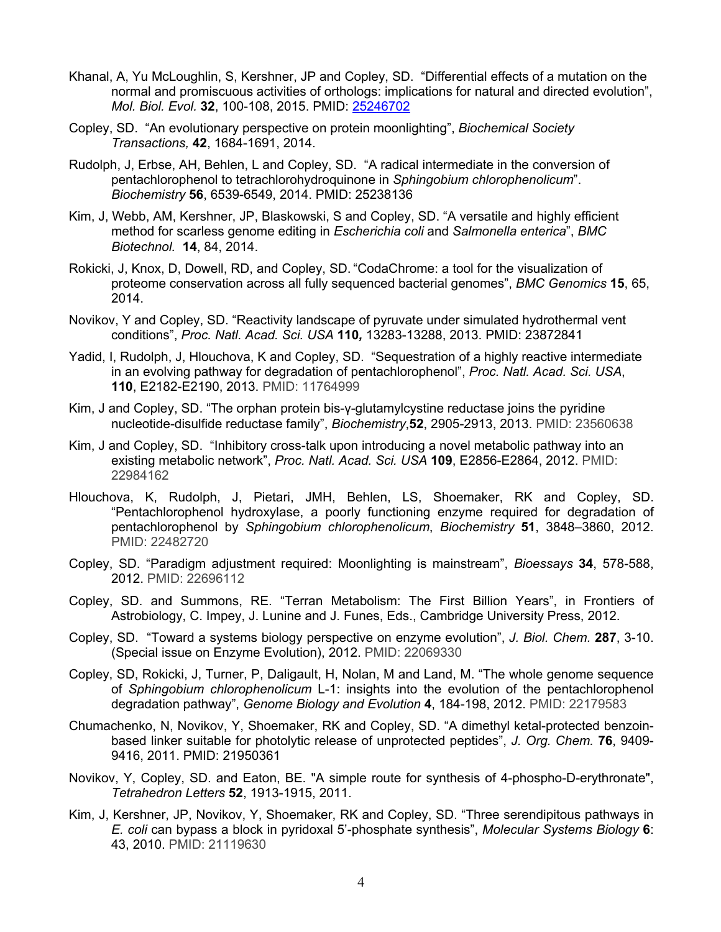- Khanal, A, Yu McLoughlin, S, Kershner, JP and Copley, SD. "Differential effects of a mutation on the normal and promiscuous activities of orthologs: implications for natural and directed evolution", *Mol. Biol. Evol.* **32**, 100-108, 2015. PMID: 25246702
- Copley, SD. "An evolutionary perspective on protein moonlighting", *Biochemical Society Transactions,* **42**, 1684-1691, 2014.
- Rudolph, J, Erbse, AH, Behlen, L and Copley, SD. "A radical intermediate in the conversion of pentachlorophenol to tetrachlorohydroquinone in *Sphingobium chlorophenolicum*". *Biochemistry* **56**, 6539-6549, 2014. PMID: 25238136
- Kim, J, Webb, AM, Kershner, JP, Blaskowski, S and Copley, SD. "A versatile and highly efficient method for scarless genome editing in *Escherichia coli* and *Salmonella enterica*", *BMC Biotechnol.* **14**, 84, 2014.
- Rokicki, J, Knox, D, Dowell, RD, and Copley, SD. "CodaChrome: a tool for the visualization of proteome conservation across all fully sequenced bacterial genomes", *BMC Genomics* **15**, 65, 2014.
- Novikov, Y and Copley, SD. "Reactivity landscape of pyruvate under simulated hydrothermal vent conditions", *Proc. Natl. Acad. Sci. USA* **110***,* 13283-13288, 2013. PMID: 23872841
- Yadid, I, Rudolph, J, Hlouchova, K and Copley, SD. "Sequestration of a highly reactive intermediate in an evolving pathway for degradation of pentachlorophenol", *Proc. Natl. Acad. Sci. USA*, **110**, E2182-E2190, 2013. PMID: 11764999
- Kim, J and Copley, SD. "The orphan protein bis-γ-glutamylcystine reductase joins the pyridine nucleotide-disulfide reductase family", *Biochemistry*,**52**, 2905-2913, 2013. PMID: 23560638
- Kim, J and Copley, SD. "Inhibitory cross-talk upon introducing a novel metabolic pathway into an existing metabolic network", *Proc. Natl. Acad. Sci. USA* **109**, E2856-E2864, 2012. PMID: 22984162
- Hlouchova, K, Rudolph, J, Pietari, JMH, Behlen, LS, Shoemaker, RK and Copley, SD. "Pentachlorophenol hydroxylase, a poorly functioning enzyme required for degradation of pentachlorophenol by *Sphingobium chlorophenolicum*, *Biochemistry* **51**, 3848–3860, 2012. PMID: 22482720
- Copley, SD. "Paradigm adjustment required: Moonlighting is mainstream", *Bioessays* **34**, 578-588, 2012. PMID: 22696112
- Copley, SD. and Summons, RE. "Terran Metabolism: The First Billion Years", in Frontiers of Astrobiology, C. Impey, J. Lunine and J. Funes, Eds., Cambridge University Press, 2012.
- Copley, SD. "Toward a systems biology perspective on enzyme evolution", *J. Biol. Chem.* **287**, 3-10. (Special issue on Enzyme Evolution), 2012. PMID: 22069330
- Copley, SD, Rokicki, J, Turner, P, Daligault, H, Nolan, M and Land, M. "The whole genome sequence of *Sphingobium chlorophenolicum* L-1: insights into the evolution of the pentachlorophenol degradation pathway", *Genome Biology and Evolution* **4**, 184-198, 2012. PMID: 22179583
- Chumachenko, N, Novikov, Y, Shoemaker, RK and Copley, SD. "A dimethyl ketal-protected benzoinbased linker suitable for photolytic release of unprotected peptides", *J. Org. Chem.* **76**, 9409- 9416, 2011. PMID: 21950361
- Novikov, Y, Copley, SD. and Eaton, BE. "A simple route for synthesis of 4-phospho-D-erythronate", *Tetrahedron Letters* **52**, 1913-1915, 2011.
- Kim, J, Kershner, JP, Novikov, Y, Shoemaker, RK and Copley, SD. "Three serendipitous pathways in *E. coli* can bypass a block in pyridoxal 5'-phosphate synthesis", *Molecular Systems Biology* **6**: 43, 2010. PMID: 21119630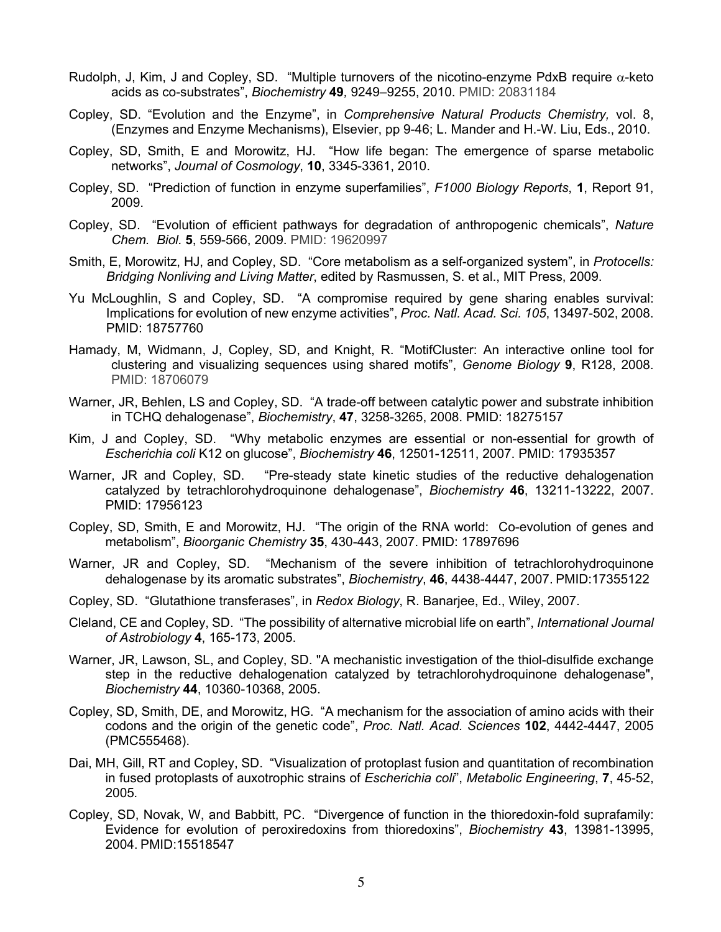- Rudolph, J, Kim, J and Copley, SD. "Multiple turnovers of the nicotino-enzyme PdxB require  $\alpha$ -keto acids as co-substrates", *Biochemistry* **49***,* 9249–9255, 2010. PMID: 20831184
- Copley, SD. "Evolution and the Enzyme", in *Comprehensive Natural Products Chemistry,* vol. 8, (Enzymes and Enzyme Mechanisms), Elsevier, pp 9-46; L. Mander and H.-W. Liu, Eds., 2010.
- Copley, SD, Smith, E and Morowitz, HJ. "How life began: The emergence of sparse metabolic networks", *Journal of Cosmology*, **10**, 3345-3361, 2010.
- Copley, SD. "Prediction of function in enzyme superfamilies", *F1000 Biology Reports*, **1**, Report 91, 2009.
- Copley, SD. "Evolution of efficient pathways for degradation of anthropogenic chemicals", *Nature Chem. Biol.* **5**, 559-566, 2009. PMID: 19620997
- Smith, E, Morowitz, HJ, and Copley, SD. "Core metabolism as a self-organized system", in *Protocells: Bridging Nonliving and Living Matter*, edited by Rasmussen, S. et al., MIT Press, 2009.
- Yu McLoughlin, S and Copley, SD. "A compromise required by gene sharing enables survival: Implications for evolution of new enzyme activities", *Proc. Natl. Acad. Sci. 105*, 13497-502, 2008. PMID: 18757760
- Hamady, M, Widmann, J, Copley, SD, and Knight, R. "MotifCluster: An interactive online tool for clustering and visualizing sequences using shared motifs", *Genome Biology* **9**, R128, 2008. PMID: 18706079
- Warner, JR, Behlen, LS and Copley, SD. "A trade-off between catalytic power and substrate inhibition in TCHQ dehalogenase", *Biochemistry*, **47**, 3258-3265, 2008. PMID: 18275157
- Kim, J and Copley, SD. "Why metabolic enzymes are essential or non-essential for growth of *Escherichia coli* K12 on glucose", *Biochemistry* **46**, 12501-12511, 2007. PMID: 17935357
- Warner, JR and Copley, SD. "Pre-steady state kinetic studies of the reductive dehalogenation catalyzed by tetrachlorohydroquinone dehalogenase", *Biochemistry* **46**, 13211-13222, 2007. PMID: 17956123
- Copley, SD, Smith, E and Morowitz, HJ. "The origin of the RNA world: Co-evolution of genes and metabolism", *Bioorganic Chemistry* **35**, 430-443, 2007. PMID: 17897696
- Warner, JR and Copley, SD. "Mechanism of the severe inhibition of tetrachlorohydroquinone dehalogenase by its aromatic substrates", *Biochemistry*, **46**, 4438-4447, 2007. PMID:17355122
- Copley, SD. "Glutathione transferases", in *Redox Biology*, R. Banarjee, Ed., Wiley, 2007.
- Cleland, CE and Copley, SD. "The possibility of alternative microbial life on earth", *International Journal of Astrobiology* **4**, 165-173, 2005.
- Warner, JR, Lawson, SL, and Copley, SD. "A mechanistic investigation of the thiol-disulfide exchange step in the reductive dehalogenation catalyzed by tetrachlorohydroquinone dehalogenase", *Biochemistry* **44**, 10360-10368, 2005.
- Copley, SD, Smith, DE, and Morowitz, HG. "A mechanism for the association of amino acids with their codons and the origin of the genetic code", *Proc. Natl. Acad. Sciences* **102**, 4442-4447, 2005 (PMC555468).
- Dai, MH, Gill, RT and Copley, SD. "Visualization of protoplast fusion and quantitation of recombination in fused protoplasts of auxotrophic strains of *Escherichia coli*", *Metabolic Engineering*, **7**, 45-52, 2005*.*
- Copley, SD, Novak, W, and Babbitt, PC. "Divergence of function in the thioredoxin-fold suprafamily: Evidence for evolution of peroxiredoxins from thioredoxins", *Biochemistry* **43**, 13981-13995, 2004. PMID:15518547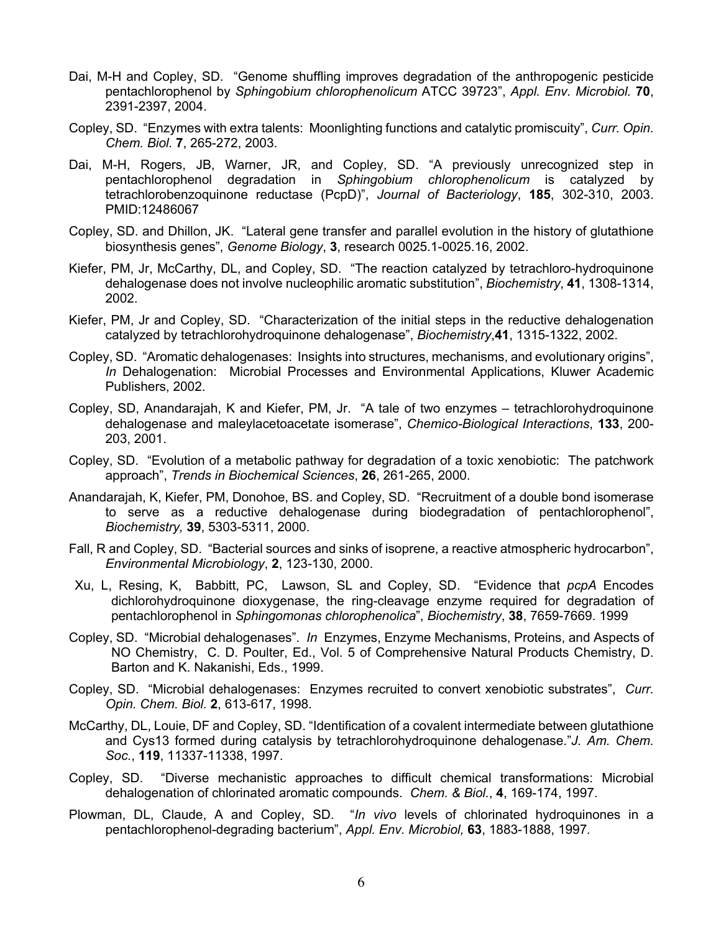- Dai, M-H and Copley, SD. "Genome shuffling improves degradation of the anthropogenic pesticide pentachlorophenol by *Sphingobium chlorophenolicum* ATCC 39723", *Appl. Env. Microbiol.* **70**, 2391-2397, 2004.
- Copley, SD. "Enzymes with extra talents: Moonlighting functions and catalytic promiscuity", *Curr. Opin. Chem. Biol.* **7**, 265-272, 2003.
- Dai, M-H, Rogers, JB, Warner, JR, and Copley, SD. "A previously unrecognized step in pentachlorophenol degradation in *Sphingobium chlorophenolicum* is catalyzed by tetrachlorobenzoquinone reductase (PcpD)", *Journal of Bacteriology*, **185**, 302-310, 2003. PMID:12486067
- Copley, SD. and Dhillon, JK. "Lateral gene transfer and parallel evolution in the history of glutathione biosynthesis genes", *Genome Biology*, **3**, research 0025.1-0025.16, 2002.
- Kiefer, PM, Jr, McCarthy, DL, and Copley, SD. "The reaction catalyzed by tetrachloro-hydroquinone dehalogenase does not involve nucleophilic aromatic substitution", *Biochemistry*, **41**, 1308-1314, 2002.
- Kiefer, PM, Jr and Copley, SD. "Characterization of the initial steps in the reductive dehalogenation catalyzed by tetrachlorohydroquinone dehalogenase", *Biochemistry*,**41**, 1315-1322, 2002.
- Copley, SD. "Aromatic dehalogenases: Insights into structures, mechanisms, and evolutionary origins", *In* Dehalogenation: Microbial Processes and Environmental Applications, Kluwer Academic Publishers, 2002.
- Copley, SD, Anandarajah, K and Kiefer, PM, Jr. "A tale of two enzymes tetrachlorohydroquinone dehalogenase and maleylacetoacetate isomerase", *Chemico-Biological Interactions*, **133**, 200- 203, 2001.
- Copley, SD. "Evolution of a metabolic pathway for degradation of a toxic xenobiotic: The patchwork approach", *Trends in Biochemical Sciences*, **26**, 261-265, 2000.
- Anandarajah, K, Kiefer, PM, Donohoe, BS. and Copley, SD. "Recruitment of a double bond isomerase to serve as a reductive dehalogenase during biodegradation of pentachlorophenol", *Biochemistry,* **39**, 5303-5311, 2000.
- Fall, R and Copley, SD. "Bacterial sources and sinks of isoprene, a reactive atmospheric hydrocarbon", *Environmental Microbiology*, **2**, 123-130, 2000.
- Xu, L, Resing, K, Babbitt, PC, Lawson, SL and Copley, SD. "Evidence that *pcpA* Encodes dichlorohydroquinone dioxygenase, the ring-cleavage enzyme required for degradation of pentachlorophenol in *Sphingomonas chlorophenolica*", *Biochemistry*, **38**, 7659-7669. 1999
- Copley, SD. "Microbial dehalogenases". *In* Enzymes, Enzyme Mechanisms, Proteins, and Aspects of NO Chemistry, C. D. Poulter, Ed., Vol. 5 of Comprehensive Natural Products Chemistry, D. Barton and K. Nakanishi, Eds., 1999.
- Copley, SD. "Microbial dehalogenases: Enzymes recruited to convert xenobiotic substrates", *Curr. Opin. Chem. Biol.* **2**, 613-617, 1998.
- McCarthy, DL, Louie, DF and Copley, SD. "Identification of a covalent intermediate between glutathione and Cys13 formed during catalysis by tetrachlorohydroquinone dehalogenase."*J. Am. Chem. Soc.*, **119**, 11337-11338, 1997.
- Copley, SD. "Diverse mechanistic approaches to difficult chemical transformations: Microbial dehalogenation of chlorinated aromatic compounds. *Chem. & Biol.*, **4**, 169-174, 1997.
- Plowman, DL, Claude, A and Copley, SD. "*In vivo* levels of chlorinated hydroquinones in a pentachlorophenol-degrading bacterium", *Appl. Env. Microbiol,* **63**, 1883-1888, 1997*.*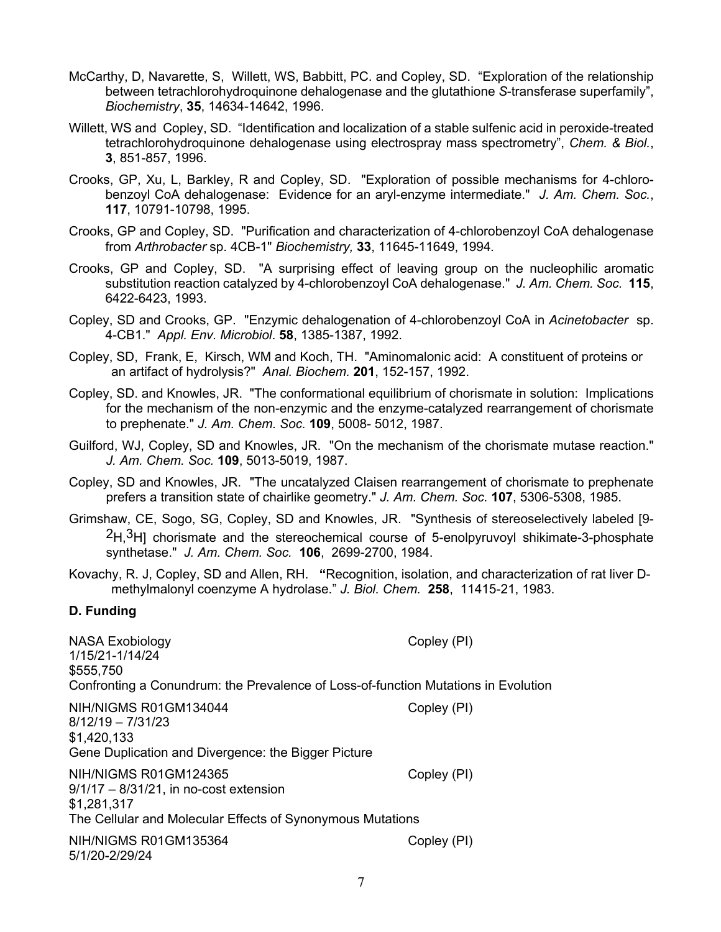- McCarthy, D, Navarette, S, Willett, WS, Babbitt, PC. and Copley, SD. "Exploration of the relationship between tetrachlorohydroquinone dehalogenase and the glutathione *S*-transferase superfamily", *Biochemistry*, **35**, 14634-14642, 1996.
- Willett, WS and Copley, SD. "Identification and localization of a stable sulfenic acid in peroxide-treated tetrachlorohydroquinone dehalogenase using electrospray mass spectrometry", *Chem. & Biol.*, **3**, 851-857, 1996.
- Crooks, GP, Xu, L, Barkley, R and Copley, SD. "Exploration of possible mechanisms for 4-chlorobenzoyl CoA dehalogenase: Evidence for an aryl-enzyme intermediate." *J. Am. Chem. Soc.*, **117**, 10791-10798, 1995.
- Crooks, GP and Copley, SD. "Purification and characterization of 4-chlorobenzoyl CoA dehalogenase from *Arthrobacter* sp. 4CB-1" *Biochemistry,* **33**, 11645-11649, 1994*.*
- Crooks, GP and Copley, SD. "A surprising effect of leaving group on the nucleophilic aromatic substitution reaction catalyzed by 4-chlorobenzoyl CoA dehalogenase." *J. Am. Chem. Soc.* **115**, 6422-6423, 1993.
- Copley, SD and Crooks, GP. "Enzymic dehalogenation of 4-chlorobenzoyl CoA in *Acinetobacter* sp. 4-CB1." *Appl. Env. Microbiol*. **58**, 1385-1387, 1992.
- Copley, SD, Frank, E, Kirsch, WM and Koch, TH. "Aminomalonic acid: A constituent of proteins or an artifact of hydrolysis?" *Anal. Biochem.* **201**, 152-157, 1992.
- Copley, SD. and Knowles, JR. "The conformational equilibrium of chorismate in solution: Implications for the mechanism of the non-enzymic and the enzyme-catalyzed rearrangement of chorismate to prephenate." *J. Am. Chem. Soc.* **109**, 5008- 5012, 1987.
- Guilford, WJ, Copley, SD and Knowles, JR. "On the mechanism of the chorismate mutase reaction." *J. Am. Chem. Soc.* **109**, 5013-5019, 1987.
- Copley, SD and Knowles, JR. "The uncatalyzed Claisen rearrangement of chorismate to prephenate prefers a transition state of chairlike geometry." *J. Am. Chem. Soc.* **107**, 5306-5308, 1985.
- Grimshaw, CE, Sogo, SG, Copley, SD and Knowles, JR. "Synthesis of stereoselectively labeled [9- <sup>2</sup>H,<sup>3</sup>H] chorismate and the stereochemical course of 5-enolpyruvoyl shikimate-3-phosphate synthetase." *J. Am. Chem. Soc.* **106**, 2699-2700, 1984.
- Kovachy, R. J, Copley, SD and Allen, RH. **"**Recognition, isolation, and characterization of rat liver Dmethylmalonyl coenzyme A hydrolase." *J. Biol. Chem.* **258**, 11415-21, 1983.

#### **D. Funding**

| <b>NASA Exobiology</b><br>1/15/21-1/14/24<br>\$555,750<br>Confronting a Conundrum: the Prevalence of Loss-of-function Mutations in Evolution    | Copley (PI) |
|-------------------------------------------------------------------------------------------------------------------------------------------------|-------------|
| NIH/NIGMS R01GM134044<br>$8/12/19 - 7/31/23$<br>\$1,420,133<br>Gene Duplication and Divergence: the Bigger Picture                              | Copley (PI) |
| NIH/NIGMS R01GM124365<br>$9/1/17 - 8/31/21$ , in no-cost extension<br>\$1,281,317<br>The Cellular and Molecular Effects of Synonymous Mutations | Copley (PI) |
| NIH/NIGMS R01GM135364<br>5/1/20-2/29/24                                                                                                         | Copley (PI) |